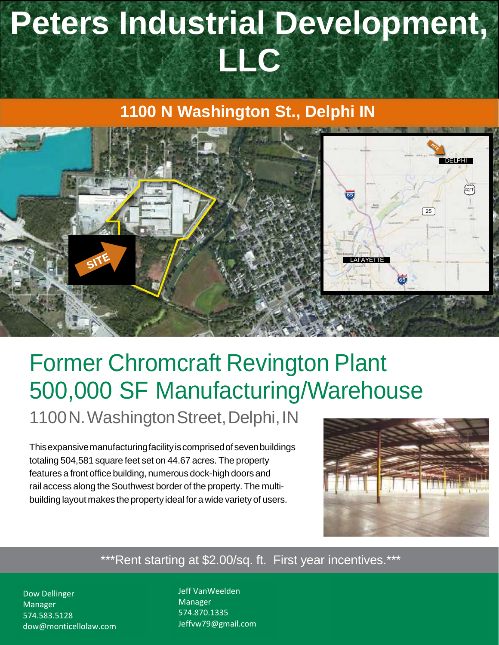# **Peters Industrial Development, LLC**

### **1100 N Washington St., Delphi IN**



## Former Chromcraft Revington Plant 500,000 SF Manufacturing/Warehouse

1100N. Washington Street, Delphi, IN

Thisexpansivemanufacturingfacilityiscomprisedofsevenbuildings totaling 504,581 square feet set on 44.67 acres. The property features a front office building, numerous dock-high doors and rail access along the Southwest border of the property. The multibuilding layout makes the property ideal for a wide variety of users.



\*\*\*Rent starting at \$2.00/sq. ft. First year incentives.\*\*\*

Dow Dellinger Manager<br>Manager 847.418.2723 574.583.5128 dow@monticellolaw.com Jeff VanWeelden Manager and Associate 847.504.2478 574.870.1335 Jeffvw79@gmail.com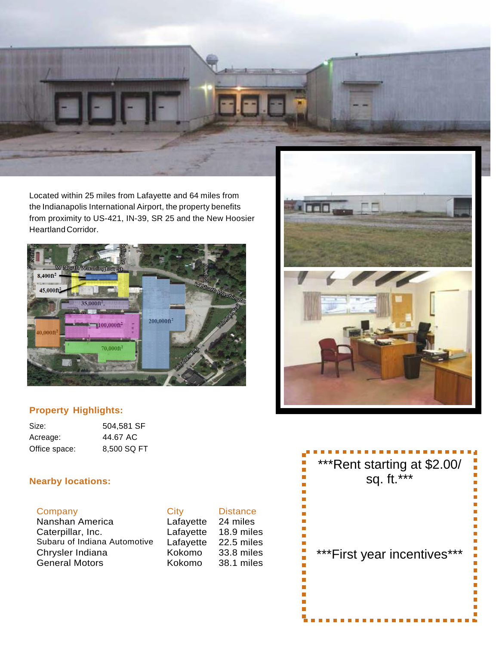

Located within 25 miles from Lafayette and 64 miles from the Indianapolis International Airport, the property benefits from proximity to US-421, IN-39, SR 25 and the New Hoosier HeartlandCorridor.



### **Property Highlights:**

| Size:         | 504,581 SF  |
|---------------|-------------|
| Acreage:      | 44.67 AC    |
| Office space: | 8,500 SQ FT |

#### **Nearby locations:**

| ompan |  |  |
|-------|--|--|
|       |  |  |

Nanshan America Lafayette 24 miles Caterpillar, Inc. Lafayette 18.9 miles Subaru of Indiana Automotive Lafayette 22.5 miles Chrysler Indiana Kokomo 33.8 miles General Motors **Kokomo** 38.1 miles

| Company                      | City      | <b>Distance</b> |
|------------------------------|-----------|-----------------|
| Nanshan America              | Lafayette | 24 miles        |
| Caterpillar, Inc.            | Lafayette | $18.9$ mile     |
| Subaru of Indiana Automotive | Lafayette | $22.5$ mile     |
| Chrysler Indiana             | Kokomo    | 33.8 mile       |
| General Motors               | Kokomo    | 38.1 mile       |